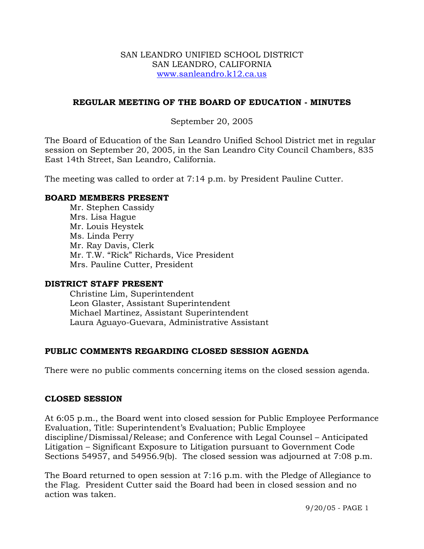### SAN LEANDRO UNIFIED SCHOOL DISTRICT SAN LEANDRO, CALIFORNIA www.sanleandro.k12.ca.us

## **REGULAR MEETING OF THE BOARD OF EDUCATION - MINUTES**

### September 20, 2005

The Board of Education of the San Leandro Unified School District met in regular session on September 20, 2005, in the San Leandro City Council Chambers, 835 East 14th Street, San Leandro, California.

The meeting was called to order at 7:14 p.m. by President Pauline Cutter.

### **BOARD MEMBERS PRESENT**

Mr. Stephen Cassidy Mrs. Lisa Hague Mr. Louis Heystek Ms. Linda Perry Mr. Ray Davis, Clerk Mr. T.W. "Rick" Richards, Vice President Mrs. Pauline Cutter, President

### **DISTRICT STAFF PRESENT**

Christine Lim, Superintendent Leon Glaster, Assistant Superintendent Michael Martinez, Assistant Superintendent Laura Aguayo-Guevara, Administrative Assistant

## **PUBLIC COMMENTS REGARDING CLOSED SESSION AGENDA**

There were no public comments concerning items on the closed session agenda.

### **CLOSED SESSION**

At 6:05 p.m., the Board went into closed session for Public Employee Performance Evaluation, Title: Superintendent's Evaluation; Public Employee discipline/Dismissal/Release; and Conference with Legal Counsel – Anticipated Litigation – Significant Exposure to Litigation pursuant to Government Code Sections 54957, and 54956.9(b). The closed session was adjourned at 7:08 p.m.

The Board returned to open session at 7:16 p.m. with the Pledge of Allegiance to the Flag. President Cutter said the Board had been in closed session and no action was taken.

9/20/05 - PAGE 1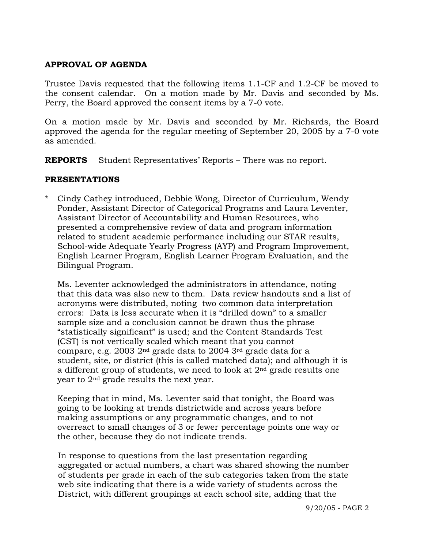# **APPROVAL OF AGENDA**

Trustee Davis requested that the following items 1.1-CF and 1.2-CF be moved to the consent calendar. On a motion made by Mr. Davis and seconded by Ms. Perry, the Board approved the consent items by a 7-0 vote.

On a motion made by Mr. Davis and seconded by Mr. Richards, the Board approved the agenda for the regular meeting of September 20, 2005 by a 7-0 vote as amended.

**REPORTS** Student Representatives' Reports – There was no report.

### **PRESENTATIONS**

\* Cindy Cathey introduced, Debbie Wong, Director of Curriculum, Wendy Ponder, Assistant Director of Categorical Programs and Laura Leventer, Assistant Director of Accountability and Human Resources, who presented a comprehensive review of data and program information related to student academic performance including our STAR results, School-wide Adequate Yearly Progress (AYP) and Program Improvement, English Learner Program, English Learner Program Evaluation, and the Bilingual Program.

 Ms. Leventer acknowledged the administrators in attendance, noting that this data was also new to them. Data review handouts and a list of acronyms were distributed, noting two common data interpretation errors: Data is less accurate when it is "drilled down" to a smaller sample size and a conclusion cannot be drawn thus the phrase "statistically significant" is used; and the Content Standards Test (CST) is not vertically scaled which meant that you cannot compare, e.g. 2003 2nd grade data to 2004 3rd grade data for a student, site, or district (this is called matched data); and although it is a different group of students, we need to look at  $2<sup>nd</sup>$  grade results one year to 2nd grade results the next year.

 Keeping that in mind, Ms. Leventer said that tonight, the Board was going to be looking at trends districtwide and across years before making assumptions or any programmatic changes, and to not overreact to small changes of 3 or fewer percentage points one way or the other, because they do not indicate trends.

 In response to questions from the last presentation regarding aggregated or actual numbers, a chart was shared showing the number of students per grade in each of the sub categories taken from the state web site indicating that there is a wide variety of students across the District, with different groupings at each school site, adding that the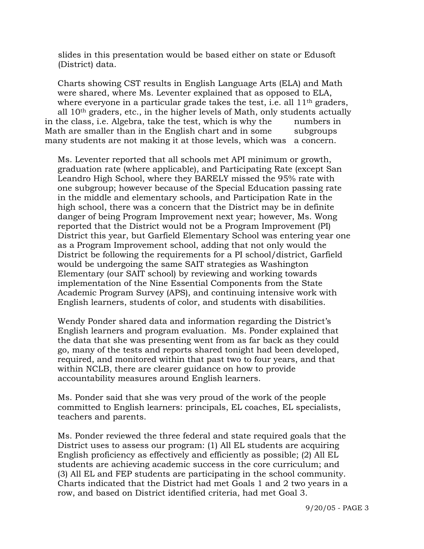slides in this presentation would be based either on state or Edusoft (District) data.

 Charts showing CST results in English Language Arts (ELA) and Math were shared, where Ms. Leventer explained that as opposed to ELA, where everyone in a particular grade takes the test, i.e. all  $11<sup>th</sup>$  graders, all 10th graders, etc., in the higher levels of Math, only students actually in the class, i.e. Algebra, take the test, which is why the numbers in Math are smaller than in the English chart and in some subgroups many students are not making it at those levels, which was a concern.

 Ms. Leventer reported that all schools met API minimum or growth, graduation rate (where applicable), and Participating Rate (except San Leandro High School, where they BARELY missed the 95% rate with one subgroup; however because of the Special Education passing rate in the middle and elementary schools, and Participation Rate in the high school, there was a concern that the District may be in definite danger of being Program Improvement next year; however, Ms. Wong reported that the District would not be a Program Improvement (PI) District this year, but Garfield Elementary School was entering year one as a Program Improvement school, adding that not only would the District be following the requirements for a PI school/district, Garfield would be undergoing the same SAIT strategies as Washington Elementary (our SAIT school) by reviewing and working towards implementation of the Nine Essential Components from the State Academic Program Survey (APS), and continuing intensive work with English learners, students of color, and students with disabilities.

 Wendy Ponder shared data and information regarding the District's English learners and program evaluation. Ms. Ponder explained that the data that she was presenting went from as far back as they could go, many of the tests and reports shared tonight had been developed, required, and monitored within that past two to four years, and that within NCLB, there are clearer guidance on how to provide accountability measures around English learners.

 Ms. Ponder said that she was very proud of the work of the people committed to English learners: principals, EL coaches, EL specialists, teachers and parents.

 Ms. Ponder reviewed the three federal and state required goals that the District uses to assess our program: (1) All EL students are acquiring English proficiency as effectively and efficiently as possible; (2) All EL students are achieving academic success in the core curriculum; and (3) All EL and FEP students are participating in the school community. Charts indicated that the District had met Goals 1 and 2 two years in a row, and based on District identified criteria, had met Goal 3.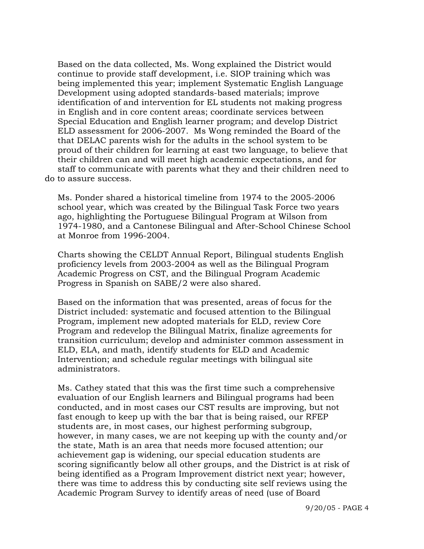Based on the data collected, Ms. Wong explained the District would continue to provide staff development, i.e. SIOP training which was being implemented this year; implement Systematic English Language Development using adopted standards-based materials; improve identification of and intervention for EL students not making progress in English and in core content areas; coordinate services between Special Education and English learner program; and develop District ELD assessment for 2006-2007. Ms Wong reminded the Board of the that DELAC parents wish for the adults in the school system to be proud of their children for learning at east two language, to believe that their children can and will meet high academic expectations, and for staff to communicate with parents what they and their children need to do to assure success.

 Ms. Ponder shared a historical timeline from 1974 to the 2005-2006 school year, which was created by the Bilingual Task Force two years ago, highlighting the Portuguese Bilingual Program at Wilson from 1974-1980, and a Cantonese Bilingual and After-School Chinese School at Monroe from 1996-2004.

 Charts showing the CELDT Annual Report, Bilingual students English proficiency levels from 2003-2004 as well as the Bilingual Program Academic Progress on CST, and the Bilingual Program Academic Progress in Spanish on SABE/2 were also shared.

 Based on the information that was presented, areas of focus for the District included: systematic and focused attention to the Bilingual Program, implement new adopted materials for ELD, review Core Program and redevelop the Bilingual Matrix, finalize agreements for transition curriculum; develop and administer common assessment in ELD, ELA, and math, identify students for ELD and Academic Intervention; and schedule regular meetings with bilingual site administrators.

 Ms. Cathey stated that this was the first time such a comprehensive evaluation of our English learners and Bilingual programs had been conducted, and in most cases our CST results are improving, but not fast enough to keep up with the bar that is being raised, our RFEP students are, in most cases, our highest performing subgroup, however, in many cases, we are not keeping up with the county and/or the state, Math is an area that needs more focused attention; our achievement gap is widening, our special education students are scoring significantly below all other groups, and the District is at risk of being identified as a Program Improvement district next year; however, there was time to address this by conducting site self reviews using the Academic Program Survey to identify areas of need (use of Board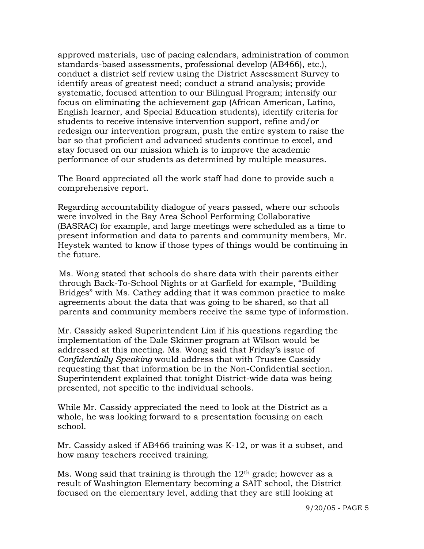approved materials, use of pacing calendars, administration of common standards-based assessments, professional develop (AB466), etc.), conduct a district self review using the District Assessment Survey to identify areas of greatest need; conduct a strand analysis; provide systematic, focused attention to our Bilingual Program; intensify our focus on eliminating the achievement gap (African American, Latino, English learner, and Special Education students), identify criteria for students to receive intensive intervention support, refine and/or redesign our intervention program, push the entire system to raise the bar so that proficient and advanced students continue to excel, and stay focused on our mission which is to improve the academic performance of our students as determined by multiple measures.

 The Board appreciated all the work staff had done to provide such a comprehensive report.

 Regarding accountability dialogue of years passed, where our schools were involved in the Bay Area School Performing Collaborative (BASRAC) for example, and large meetings were scheduled as a time to present information and data to parents and community members, Mr. Heystek wanted to know if those types of things would be continuing in the future.

 Ms. Wong stated that schools do share data with their parents either through Back-To-School Nights or at Garfield for example, "Building Bridges" with Ms. Cathey adding that it was common practice to make agreements about the data that was going to be shared, so that all parents and community members receive the same type of information.

 Mr. Cassidy asked Superintendent Lim if his questions regarding the implementation of the Dale Skinner program at Wilson would be addressed at this meeting. Ms. Wong said that Friday's issue of *Confidentially Speaking* would address that with Trustee Cassidy requesting that that information be in the Non-Confidential section. Superintendent explained that tonight District-wide data was being presented, not specific to the individual schools.

 While Mr. Cassidy appreciated the need to look at the District as a whole, he was looking forward to a presentation focusing on each school.

 Mr. Cassidy asked if AB466 training was K-12, or was it a subset, and how many teachers received training.

Ms. Wong said that training is through the  $12<sup>th</sup>$  grade; however as a result of Washington Elementary becoming a SAIT school, the District focused on the elementary level, adding that they are still looking at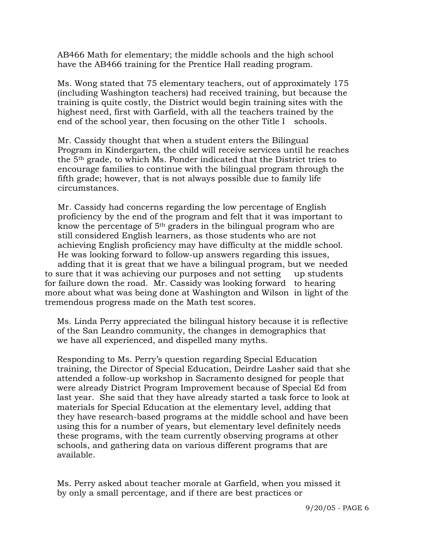AB466 Math for elementary; the middle schools and the high school have the AB466 training for the Prentice Hall reading program.

 Ms. Wong stated that 75 elementary teachers, out of approximately 175 (including Washington teachers) had received training, but because the training is quite costly, the District would begin training sites with the highest need, first with Garfield, with all the teachers trained by the end of the school year, then focusing on the other Title I schools.

 Mr. Cassidy thought that when a student enters the Bilingual Program in Kindergarten, the child will receive services until he reaches the 5th grade, to which Ms. Ponder indicated that the District tries to encourage families to continue with the bilingual program through the fifth grade; however, that is not always possible due to family life circumstances.

 Mr. Cassidy had concerns regarding the low percentage of English proficiency by the end of the program and felt that it was important to know the percentage of 5th graders in the bilingual program who are still considered English learners, as those students who are not achieving English proficiency may have difficulty at the middle school. He was looking forward to follow-up answers regarding this issues, adding that it is great that we have a bilingual program, but we needed to sure that it was achieving our purposes and not setting up students for failure down the road. Mr. Cassidy was looking forward to hearing more about what was being done at Washington and Wilson in light of the tremendous progress made on the Math test scores.

 Ms. Linda Perry appreciated the bilingual history because it is reflective of the San Leandro community, the changes in demographics that we have all experienced, and dispelled many myths.

 Responding to Ms. Perry's question regarding Special Education training, the Director of Special Education, Deirdre Lasher said that she attended a follow-up workshop in Sacramento designed for people that were already District Program Improvement because of Special Ed from last year. She said that they have already started a task force to look at materials for Special Education at the elementary level, adding that they have research-based programs at the middle school and have been using this for a number of years, but elementary level definitely needs these programs, with the team currently observing programs at other schools, and gathering data on various different programs that are available.

 Ms. Perry asked about teacher morale at Garfield, when you missed it by only a small percentage, and if there are best practices or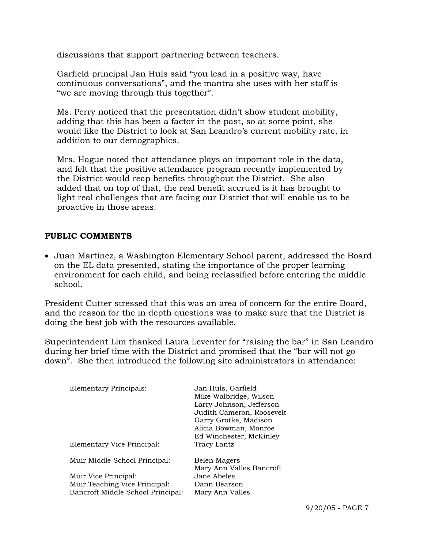discussions that support partnering between teachers.

 Garfield principal Jan Huls said "you lead in a positive way, have continuous conversations", and the mantra she uses with her staff is "we are moving through this together".

 Ms. Perry noticed that the presentation didn't show student mobility, adding that this has been a factor in the past, so at some point, she would like the District to look at San Leandro's current mobility rate, in addition to our demographics.

Mrs. Hague noted that attendance plays an important role in the data, and felt that the positive attendance program recently implemented by the District would reap benefits throughout the District. She also added that on top of that, the real benefit accrued is it has brought to light real challenges that are facing our District that will enable us to be proactive in those areas.

## **PUBLIC COMMENTS**

• Juan Martinez, a Washington Elementary School parent, addressed the Board on the EL data presented, stating the importance of the proper learning environment for each child, and being reclassified before entering the middle school.

President Cutter stressed that this was an area of concern for the entire Board, and the reason for the in depth questions was to make sure that the District is doing the best job with the resources available.

Superintendent Lim thanked Laura Leventer for "raising the bar" in San Leandro during her brief time with the District and promised that the "bar will not go down". She then introduced the following site administrators in attendance:

| Elementary Principals:            | Jan Huls, Garfield<br>Mike Walbridge, Wilson<br>Larry Johnson, Jefferson<br>Judith Cameron, Roosevelt<br>Garry Grotke, Madison<br>Alicia Bowman, Monroe<br>Ed Winchester, McKinley |
|-----------------------------------|------------------------------------------------------------------------------------------------------------------------------------------------------------------------------------|
| Elementary Vice Principal:        | Tracy Lantz                                                                                                                                                                        |
| Muir Middle School Principal:     | Belen Magers<br>Mary Ann Valles Bancroft                                                                                                                                           |
| Muir Vice Principal:              | Jane Abelee                                                                                                                                                                        |
| Muir Teaching Vice Principal:     | Dann Bearson                                                                                                                                                                       |
| Bancroft Middle School Principal: | Mary Ann Valles                                                                                                                                                                    |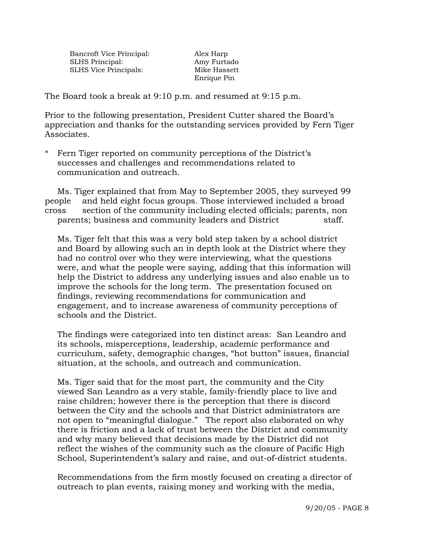Bancroft Vice Principal: Alex Harp SLHS Principal: Amy Furtado SLHS Vice Principals: Mike Hassett

Enrique Pin

The Board took a break at 9:10 p.m. and resumed at 9:15 p.m.

Prior to the following presentation, President Cutter shared the Board's appreciation and thanks for the outstanding services provided by Fern Tiger Associates.

\* Fern Tiger reported on community perceptions of the District's successes and challenges and recommendations related to communication and outreach.

 Ms. Tiger explained that from May to September 2005, they surveyed 99 people and held eight focus groups. Those interviewed included a broad cross section of the community including elected officials; parents, non parents; business and community leaders and District staff.

Ms. Tiger felt that this was a very bold step taken by a school district and Board by allowing such an in depth look at the District where they had no control over who they were interviewing, what the questions were, and what the people were saying, adding that this information will help the District to address any underlying issues and also enable us to improve the schools for the long term. The presentation focused on findings, reviewing recommendations for communication and engagement, and to increase awareness of community perceptions of schools and the District.

The findings were categorized into ten distinct areas: San Leandro and its schools, misperceptions, leadership, academic performance and curriculum, safety, demographic changes, "hot button" issues, financial situation, at the schools, and outreach and communication.

Ms. Tiger said that for the most part, the community and the City viewed San Leandro as a very stable, family-friendly place to live and raise children; however there is the perception that there is discord between the City and the schools and that District administrators are not open to "meaningful dialogue." The report also elaborated on why there is friction and a lack of trust between the District and community and why many believed that decisions made by the District did not reflect the wishes of the community such as the closure of Pacific High School, Superintendent's salary and raise, and out-of-district students.

Recommendations from the firm mostly focused on creating a director of outreach to plan events, raising money and working with the media,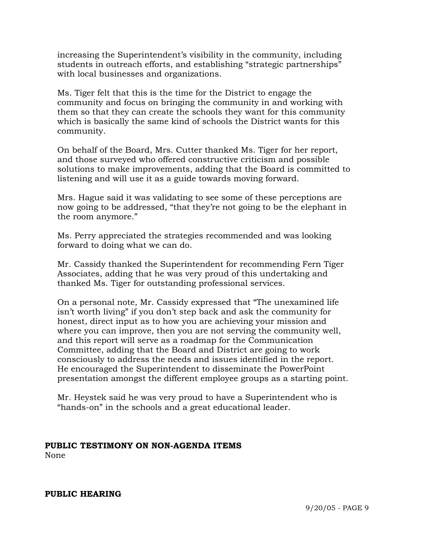increasing the Superintendent's visibility in the community, including students in outreach efforts, and establishing "strategic partnerships" with local businesses and organizations.

Ms. Tiger felt that this is the time for the District to engage the community and focus on bringing the community in and working with them so that they can create the schools they want for this community which is basically the same kind of schools the District wants for this community.

On behalf of the Board, Mrs. Cutter thanked Ms. Tiger for her report, and those surveyed who offered constructive criticism and possible solutions to make improvements, adding that the Board is committed to listening and will use it as a guide towards moving forward.

Mrs. Hague said it was validating to see some of these perceptions are now going to be addressed, "that they're not going to be the elephant in the room anymore."

Ms. Perry appreciated the strategies recommended and was looking forward to doing what we can do.

Mr. Cassidy thanked the Superintendent for recommending Fern Tiger Associates, adding that he was very proud of this undertaking and thanked Ms. Tiger for outstanding professional services.

On a personal note, Mr. Cassidy expressed that "The unexamined life isn't worth living" if you don't step back and ask the community for honest, direct input as to how you are achieving your mission and where you can improve, then you are not serving the community well, and this report will serve as a roadmap for the Communication Committee, adding that the Board and District are going to work consciously to address the needs and issues identified in the report. He encouraged the Superintendent to disseminate the PowerPoint presentation amongst the different employee groups as a starting point.

Mr. Heystek said he was very proud to have a Superintendent who is "hands-on" in the schools and a great educational leader.

### **PUBLIC TESTIMONY ON NON-AGENDA ITEMS** None

### **PUBLIC HEARING**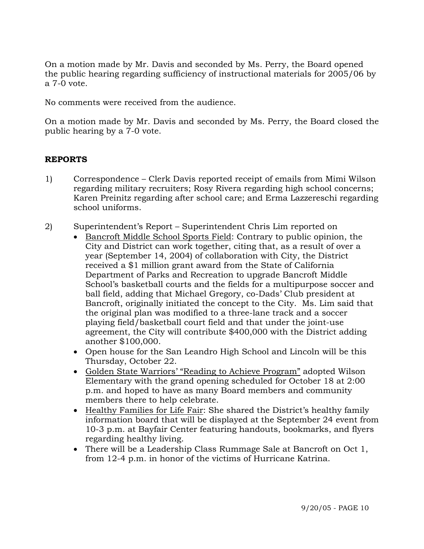On a motion made by Mr. Davis and seconded by Ms. Perry, the Board opened the public hearing regarding sufficiency of instructional materials for 2005/06 by a 7-0 vote.

No comments were received from the audience.

On a motion made by Mr. Davis and seconded by Ms. Perry, the Board closed the public hearing by a 7-0 vote.

# **REPORTS**

- 1) Correspondence Clerk Davis reported receipt of emails from Mimi Wilson regarding military recruiters; Rosy Rivera regarding high school concerns; Karen Preinitz regarding after school care; and Erma Lazzereschi regarding school uniforms.
- 2) Superintendent's Report Superintendent Chris Lim reported on
	- Bancroft Middle School Sports Field: Contrary to public opinion, the City and District can work together, citing that, as a result of over a year (September 14, 2004) of collaboration with City, the District received a \$1 million grant award from the State of California Department of Parks and Recreation to upgrade Bancroft Middle School's basketball courts and the fields for a multipurpose soccer and ball field, adding that Michael Gregory, co-Dads' Club president at Bancroft, originally initiated the concept to the City. Ms. Lim said that the original plan was modified to a three-lane track and a soccer playing field/basketball court field and that under the joint-use agreement, the City will contribute \$400,000 with the District adding another \$100,000.
	- Open house for the San Leandro High School and Lincoln will be this Thursday, October 22.
	- Golden State Warriors' "Reading to Achieve Program" adopted Wilson Elementary with the grand opening scheduled for October 18 at 2:00 p.m. and hoped to have as many Board members and community members there to help celebrate.
	- Healthy Families for Life Fair: She shared the District's healthy family information board that will be displayed at the September 24 event from 10-3 p.m. at Bayfair Center featuring handouts, bookmarks, and flyers regarding healthy living.
	- There will be a Leadership Class Rummage Sale at Bancroft on Oct 1, from 12-4 p.m. in honor of the victims of Hurricane Katrina.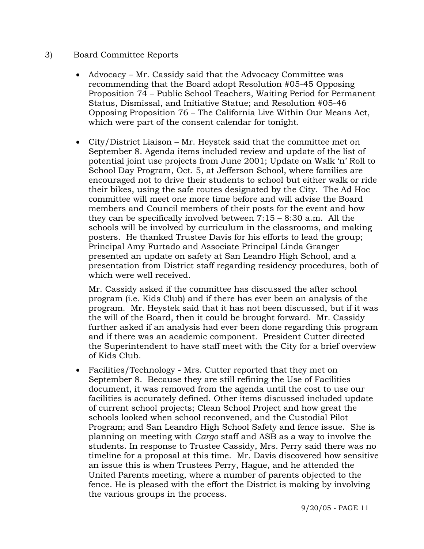### 3) Board Committee Reports

- Advocacy Mr. Cassidy said that the Advocacy Committee was recommending that the Board adopt Resolution #05-45 Opposing Proposition 74 – Public School Teachers, Waiting Period for Permanent Status, Dismissal, and Initiative Statue; and Resolution #05-46 Opposing Proposition 76 – The California Live Within Our Means Act, which were part of the consent calendar for tonight.
- City/District Liaison Mr. Heystek said that the committee met on September 8. Agenda items included review and update of the list of potential joint use projects from June 2001; Update on Walk 'n' Roll to School Day Program, Oct. 5, at Jefferson School, where families are encouraged not to drive their students to school but either walk or ride their bikes, using the safe routes designated by the City. The Ad Hoc committee will meet one more time before and will advise the Board members and Council members of their posts for the event and how they can be specifically involved between 7:15 – 8:30 a.m. All the schools will be involved by curriculum in the classrooms, and making posters. He thanked Trustee Davis for his efforts to lead the group; Principal Amy Furtado and Associate Principal Linda Granger presented an update on safety at San Leandro High School, and a presentation from District staff regarding residency procedures, both of which were well received.

 Mr. Cassidy asked if the committee has discussed the after school program (i.e. Kids Club) and if there has ever been an analysis of the program. Mr. Heystek said that it has not been discussed, but if it was the will of the Board, then it could be brought forward. Mr. Cassidy further asked if an analysis had ever been done regarding this program and if there was an academic component. President Cutter directed the Superintendent to have staff meet with the City for a brief overview of Kids Club.

• Facilities/Technology - Mrs. Cutter reported that they met on September 8. Because they are still refining the Use of Facilities document, it was removed from the agenda until the cost to use our facilities is accurately defined. Other items discussed included update of current school projects; Clean School Project and how great the schools looked when school reconvened, and the Custodial Pilot Program; and San Leandro High School Safety and fence issue. She is planning on meeting with *Cargo* staff and ASB as a way to involve the students. In response to Trustee Cassidy, Mrs. Perry said there was no timeline for a proposal at this time. Mr. Davis discovered how sensitive an issue this is when Trustees Perry, Hague, and he attended the United Parents meeting, where a number of parents objected to the fence. He is pleased with the effort the District is making by involving the various groups in the process.

9/20/05 - PAGE 11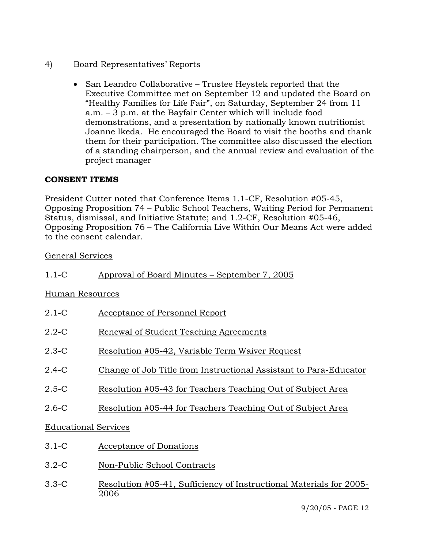- 4) Board Representatives' Reports
	- San Leandro Collaborative Trustee Heystek reported that the Executive Committee met on September 12 and updated the Board on "Healthy Families for Life Fair", on Saturday, September 24 from 11 a.m. – 3 p.m. at the Bayfair Center which will include food demonstrations, and a presentation by nationally known nutritionist Joanne Ikeda. He encouraged the Board to visit the booths and thank them for their participation. The committee also discussed the election of a standing chairperson, and the annual review and evaluation of the project manager

# **CONSENT ITEMS**

President Cutter noted that Conference Items 1.1-CF, Resolution #05-45, Opposing Proposition 74 – Public School Teachers, Waiting Period for Permanent Status, dismissal, and Initiative Statute; and 1.2-CF, Resolution #05-46, Opposing Proposition 76 – The California Live Within Our Means Act were added to the consent calendar.

## General Services

## Human Resources

| $2.1-C$                     | Acceptance of Personnel Report                                    |  |  |
|-----------------------------|-------------------------------------------------------------------|--|--|
| $2.2 - C$                   | Renewal of Student Teaching Agreements                            |  |  |
| $2.3-C$                     | Resolution #05-42, Variable Term Waiver Request                   |  |  |
| $2.4-C$                     | Change of Job Title from Instructional Assistant to Para-Educator |  |  |
| $2.5-C$                     | Resolution #05-43 for Teachers Teaching Out of Subject Area       |  |  |
| $2.6-C$                     | Resolution #05-44 for Teachers Teaching Out of Subject Area       |  |  |
| <b>Educational Services</b> |                                                                   |  |  |
| $3.1-C$                     | Acceptance of Donations                                           |  |  |
|                             |                                                                   |  |  |

- 3.2-C Non-Public School Contracts
- 3.3-C Resolution #05-41, Sufficiency of Instructional Materials for 2005- 2006

9/20/05 - PAGE 12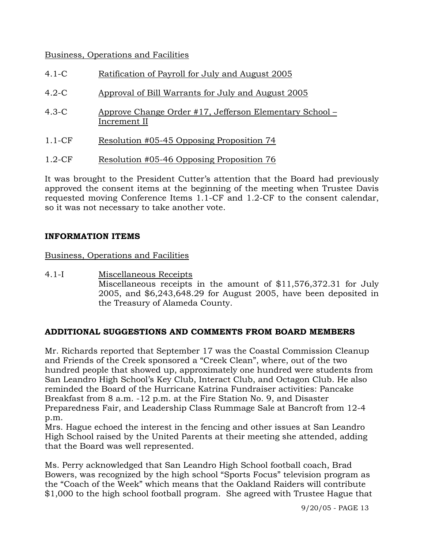# Business, Operations and Facilities

- 4.1-C Ratification of Payroll for July and August 2005
- 4.2-C Approval of Bill Warrants for July and August 2005
- 4.3-C Approve Change Order #17, Jefferson Elementary School Increment II
- 1.1-CF Resolution #05-45 Opposing Proposition 74
- 1.2-CF Resolution #05-46 Opposing Proposition 76

It was brought to the President Cutter's attention that the Board had previously approved the consent items at the beginning of the meeting when Trustee Davis requested moving Conference Items 1.1-CF and 1.2-CF to the consent calendar, so it was not necessary to take another vote.

# **INFORMATION ITEMS**

Business, Operations and Facilities

4.1-I Miscellaneous Receipts Miscellaneous receipts in the amount of \$11,576,372.31 for July 2005, and \$6,243,648.29 for August 2005, have been deposited in the Treasury of Alameda County.

# **ADDITIONAL SUGGESTIONS AND COMMENTS FROM BOARD MEMBERS**

Mr. Richards reported that September 17 was the Coastal Commission Cleanup and Friends of the Creek sponsored a "Creek Clean", where, out of the two hundred people that showed up, approximately one hundred were students from San Leandro High School's Key Club, Interact Club, and Octagon Club. He also reminded the Board of the Hurricane Katrina Fundraiser activities: Pancake Breakfast from 8 a.m. -12 p.m. at the Fire Station No. 9, and Disaster Preparedness Fair, and Leadership Class Rummage Sale at Bancroft from 12-4 p.m.

Mrs. Hague echoed the interest in the fencing and other issues at San Leandro High School raised by the United Parents at their meeting she attended, adding that the Board was well represented.

Ms. Perry acknowledged that San Leandro High School football coach, Brad Bowers, was recognized by the high school "Sports Focus" television program as the "Coach of the Week" which means that the Oakland Raiders will contribute \$1,000 to the high school football program. She agreed with Trustee Hague that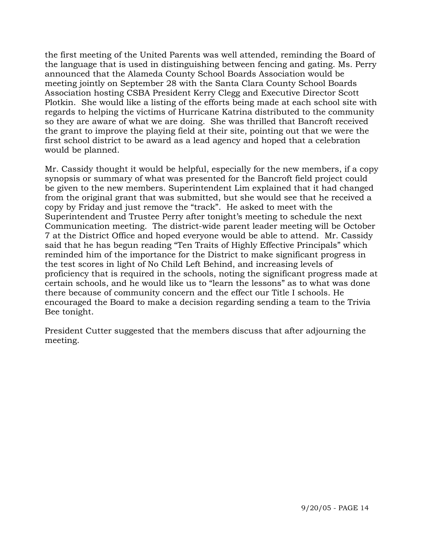the first meeting of the United Parents was well attended, reminding the Board of the language that is used in distinguishing between fencing and gating. Ms. Perry announced that the Alameda County School Boards Association would be meeting jointly on September 28 with the Santa Clara County School Boards Association hosting CSBA President Kerry Clegg and Executive Director Scott Plotkin. She would like a listing of the efforts being made at each school site with regards to helping the victims of Hurricane Katrina distributed to the community so they are aware of what we are doing. She was thrilled that Bancroft received the grant to improve the playing field at their site, pointing out that we were the first school district to be award as a lead agency and hoped that a celebration would be planned.

Mr. Cassidy thought it would be helpful, especially for the new members, if a copy synopsis or summary of what was presented for the Bancroft field project could be given to the new members. Superintendent Lim explained that it had changed from the original grant that was submitted, but she would see that he received a copy by Friday and just remove the "track". He asked to meet with the Superintendent and Trustee Perry after tonight's meeting to schedule the next Communication meeting. The district-wide parent leader meeting will be October 7 at the District Office and hoped everyone would be able to attend. Mr. Cassidy said that he has begun reading "Ten Traits of Highly Effective Principals" which reminded him of the importance for the District to make significant progress in the test scores in light of No Child Left Behind, and increasing levels of proficiency that is required in the schools, noting the significant progress made at certain schools, and he would like us to "learn the lessons" as to what was done there because of community concern and the effect our Title I schools. He encouraged the Board to make a decision regarding sending a team to the Trivia Bee tonight.

President Cutter suggested that the members discuss that after adjourning the meeting.